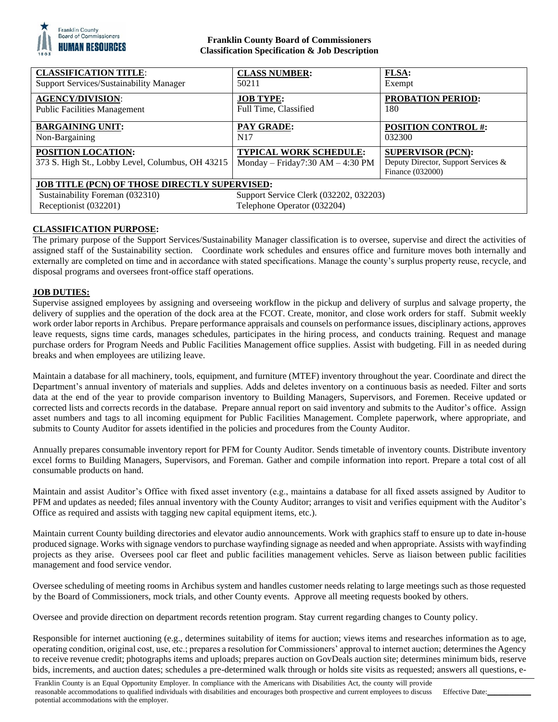

## **Franklin County Board of Commissioners Classification Specification & Job Description**

| <b>CLASSIFICATION TITLE:</b>                                                                                                                                                       | <b>CLASS NUMBER:</b>                                              | <b>FLSA:</b>                                                                        |
|------------------------------------------------------------------------------------------------------------------------------------------------------------------------------------|-------------------------------------------------------------------|-------------------------------------------------------------------------------------|
| Support Services/Sustainability Manager                                                                                                                                            | 50211                                                             | Exempt                                                                              |
| <b>AGENCY/DIVISION:</b>                                                                                                                                                            | <b>JOB TYPE:</b>                                                  | <b>PROBATION PERIOD:</b>                                                            |
| <b>Public Facilities Management</b>                                                                                                                                                | Full Time, Classified                                             | 180                                                                                 |
| <b>BARGAINING UNIT:</b>                                                                                                                                                            | PAY GRADE:                                                        | <b>POSITION CONTROL #:</b>                                                          |
| Non-Bargaining                                                                                                                                                                     | N <sub>17</sub>                                                   | 032300                                                                              |
| <b>POSITION LOCATION:</b><br>373 S. High St., Lobby Level, Columbus, OH 43215                                                                                                      | <b>TYPICAL WORK SCHEDULE:</b><br>Monday – Friday7:30 AM – 4:30 PM | <b>SUPERVISOR (PCN):</b><br>Deputy Director, Support Services &<br>Finance (032000) |
| JOB TITLE (PCN) OF THOSE DIRECTLY SUPERVISED:<br>Sustainability Foreman (032310)<br>Support Service Clerk (032202, 032203)<br>Receptionist (032201)<br>Telephone Operator (032204) |                                                                   |                                                                                     |

# **CLASSIFICATION PURPOSE:**

The primary purpose of the Support Services/Sustainability Manager classification is to oversee, supervise and direct the activities of assigned staff of the Sustainability section. Coordinate work schedules and ensures office and furniture moves both internally and externally are completed on time and in accordance with stated specifications. Manage the county's surplus property reuse, recycle, and disposal programs and oversees front-office staff operations.

## **JOB DUTIES:**

Supervise assigned employees by assigning and overseeing workflow in the pickup and delivery of surplus and salvage property, the delivery of supplies and the operation of the dock area at the FCOT. Create, monitor, and close work orders for staff. Submit weekly work order labor reports in Archibus. Prepare performance appraisals and counsels on performance issues, disciplinary actions, approves leave requests, signs time cards, manages schedules, participates in the hiring process, and conducts training. Request and manage purchase orders for Program Needs and Public Facilities Management office supplies. Assist with budgeting. Fill in as needed during breaks and when employees are utilizing leave.

Maintain a database for all machinery, tools, equipment, and furniture (MTEF) inventory throughout the year. Coordinate and direct the Department's annual inventory of materials and supplies. Adds and deletes inventory on a continuous basis as needed. Filter and sorts data at the end of the year to provide comparison inventory to Building Managers, Supervisors, and Foremen. Receive updated or corrected lists and corrects records in the database. Prepare annual report on said inventory and submits to the Auditor's office. Assign asset numbers and tags to all incoming equipment for Public Facilities Management. Complete paperwork, where appropriate, and submits to County Auditor for assets identified in the policies and procedures from the County Auditor.

Annually prepares consumable inventory report for PFM for County Auditor. Sends timetable of inventory counts. Distribute inventory excel forms to Building Managers, Supervisors, and Foreman. Gather and compile information into report. Prepare a total cost of all consumable products on hand.

Maintain and assist Auditor's Office with fixed asset inventory (e.g., maintains a database for all fixed assets assigned by Auditor to PFM and updates as needed; files annual inventory with the County Auditor; arranges to visit and verifies equipment with the Auditor's Office as required and assists with tagging new capital equipment items, etc.).

Maintain current County building directories and elevator audio announcements. Work with graphics staff to ensure up to date in-house produced signage. Works with signage vendors to purchase wayfinding signage as needed and when appropriate. Assists with wayfinding projects as they arise. Oversees pool car fleet and public facilities management vehicles. Serve as liaison between public facilities management and food service vendor.

Oversee scheduling of meeting rooms in Archibus system and handles customer needs relating to large meetings such as those requested by the Board of Commissioners, mock trials, and other County events. Approve all meeting requests booked by others.

Oversee and provide direction on department records retention program. Stay current regarding changes to County policy.

Responsible for internet auctioning (e.g., determines suitability of items for auction; views items and researches information as to age, operating condition, original cost, use, etc.; prepares a resolution for Commissioners' approval to internet auction; determines the Agency to receive revenue credit; photographs items and uploads; prepares auction on GovDeals auction site; determines minimum bids, reserve bids, increments, and auction dates; schedules a pre-determined walk through or holds site visits as requested; answers all questions, e